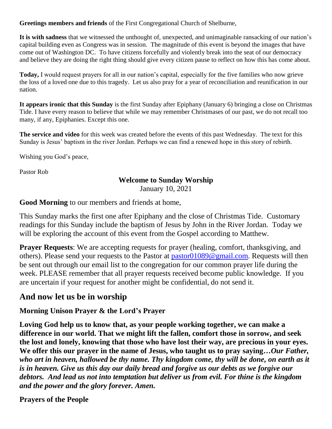**Greetings members and friends** of the First Congregational Church of Shelburne,

**It is with sadness** that we witnessed the unthought of, unexpected, and unimaginable ransacking of our nation's capital building even as Congress was in session. The magnitude of this event is beyond the images that have come out of Washington DC. To have citizens forcefully and violently break into the seat of our democracy and believe they are doing the right thing should give every citizen pause to reflect on how this has come about.

**Today,** I would request prayers for all in our nation's capital, especially for the five families who now grieve the loss of a loved one due to this tragedy. Let us also pray for a year of reconciliation and reunification in our nation.

**It appears ironic that this Sunday** is the first Sunday after Epiphany (January 6) bringing a close on Christmas Tide. I have every reason to believe that while we may remember Christmases of our past, we do not recall too many, if any, Epiphanies. Except this one.

**The service and video** for this week was created before the events of this past Wednesday. The text for this Sunday is Jesus' baptism in the river Jordan. Perhaps we can find a renewed hope in this story of rebirth.

Wishing you God's peace,

Pastor Rob

### **Welcome to Sunday Worship**

January 10, 2021

**Good Morning** to our members and friends at home,

This Sunday marks the first one after Epiphany and the close of Christmas Tide. Customary readings for this Sunday include the baptism of Jesus by John in the River Jordan. Today we will be exploring the account of this event from the Gospel according to Matthew.

**Prayer Requests:** We are accepting requests for prayer (healing, comfort, thanksgiving, and others). Please send your requests to the Pastor at [pastor01089@gmail.com.](mailto:pastor01089@gmail.com) Requests will then be sent out through our email list to the congregation for our common prayer life during the week. PLEASE remember that all prayer requests received become public knowledge. If you are uncertain if your request for another might be confidential, do not send it.

# **And now let us be in worship**

## **Morning Unison Prayer & the Lord's Prayer**

**Loving God help us to know that, as your people working together, we can make a difference in our world. That we might lift the fallen, comfort those in sorrow, and seek the lost and lonely, knowing that those who have lost their way, are precious in your eyes. We offer this our prayer in the name of Jesus, who taught us to pray saying…***Our Father, who art in heaven, hallowed be thy name. Thy kingdom come, thy will be done, on earth as it is in heaven. Give us this day our daily bread and forgive us our debts as we forgive our debtors. And lead us not into temptation but deliver us from evil. For thine is the kingdom and the power and the glory forever. Amen.*

### **Prayers of the People**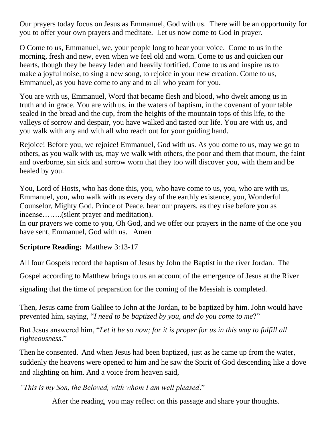Our prayers today focus on Jesus as Emmanuel, God with us. There will be an opportunity for you to offer your own prayers and meditate. Let us now come to God in prayer.

O Come to us, Emmanuel, we, your people long to hear your voice. Come to us in the morning, fresh and new, even when we feel old and worn. Come to us and quicken our hearts, though they be heavy laden and heavily fortified. Come to us and inspire us to make a joyful noise, to sing a new song, to rejoice in your new creation. Come to us, Emmanuel, as you have come to any and to all who yearn for you.

You are with us, Emmanuel, Word that became flesh and blood, who dwelt among us in truth and in grace. You are with us, in the waters of baptism, in the covenant of your table sealed in the bread and the cup, from the heights of the mountain tops of this life, to the valleys of sorrow and despair, you have walked and tasted our life. You are with us, and you walk with any and with all who reach out for your guiding hand.

Rejoice! Before you, we rejoice! Emmanuel, God with us. As you come to us, may we go to others, as you walk with us, may we walk with others, the poor and them that mourn, the faint and overborne, sin sick and sorrow worn that they too will discover you, with them and be healed by you.

You, Lord of Hosts, who has done this, you, who have come to us, you, who are with us, Emmanuel, you, who walk with us every day of the earthly existence, you, Wonderful Counselor, Mighty God, Prince of Peace, hear our prayers, as they rise before you as incense……..(silent prayer and meditation).

In our prayers we come to you, Oh God, and we offer our prayers in the name of the one you have sent, Emmanuel, God with us. Amen

# **Scripture Reading:** Matthew 3:13-17

All four Gospels record the baptism of Jesus by John the Baptist in the river Jordan. The

Gospel according to Matthew brings to us an account of the emergence of Jesus at the River

signaling that the time of preparation for the coming of the Messiah is completed.

Then, Jesus came from Galilee to John at the Jordan, to be baptized by him. John would have prevented him, saying, "*I need to be baptized by you, and do you come to me*?"

But Jesus answered him, "*Let it be so now; for it is proper for us in this way to fulfill all righteousness*."

Then he consented. And when Jesus had been baptized, just as he came up from the water, suddenly the heavens were opened to him and he saw the Spirit of God descending like a dove and alighting on him. And a voice from heaven said,

*"This is my Son, the Beloved, with whom I am well pleased*."

After the reading, you may reflect on this passage and share your thoughts.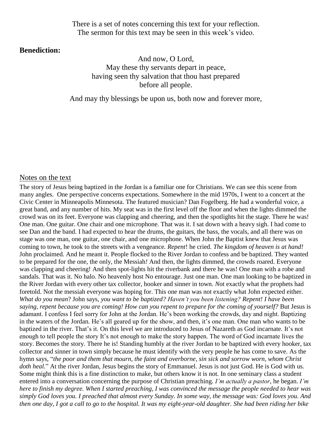There is a set of notes concerning this text for your reflection. The sermon for this text may be seen in this week's video.

#### **Benediction:**

And now, O Lord, May these thy servants depart in peace, having seen thy salvation that thou hast prepared before all people.

And may thy blessings be upon us, both now and forever more,

#### Notes on the text

The story of Jesus being baptized in the Jordan is a familiar one for Christians. We can see this scene from many angles. One perspective concerns expectations. Somewhere in the mid 1970s, I went to a concert at the Civic Center in Minneapolis Minnesota. The featured musician? Dan Fogelberg. He had a wonderful voice, a great band, and any number of hits. My seat was in the first level off the floor and when the lights dimmed the crowd was on its feet. Everyone was clapping and cheering, and then the spotlights hit the stage. There he was! One man. One guitar. One chair and one microphone. That was it. I sat down with a heavy sigh. I had come to see Dan and the band. I had expected to hear the drums, the guitars, the bass, the vocals, and all there was on stage was one man, one guitar, one chair, and one microphone. When John the Baptist knew that Jesus was coming to town, he took to the streets with a vengeance*. Repent*! he cried. *The kingdom of heaven is at hand!*  John proclaimed. And he meant it. People flocked to the River Jordan to confess and be baptized. They wanted to be prepared for the one, the only*,* the Messiah*!* And then, the lights dimmed, the crowds roared. Everyone was clapping and cheering! And then spot-lights hit the riverbank and there he was! One man with a robe and sandals. That was it. No halo. No heavenly host No entourage. Just one man. One man looking to be baptized in the River Jordan with every other tax collector, hooker and sinner in town. *N*ot exactly what the prophets had foretold. Not the messiah everyone was hoping for. This one man was not exactly what John expected either. *What do you mean*? John says, *you want to be baptized? Haven't you been listening? Repent! I have been saying, repent because you are coming! How can you repent to prepare for the coming of yourself?* But Jesus is adamant. I confess I feel sorry for John at the Jordan. He's been working the crowds, day and night. Baptizing in the waters of the Jordan*.* He's all geared up for the show, and then, it's one man. One man who wants to be baptized in the river. That's it. On this level we are introduced to Jesus of Nazareth as God incarnate. It's not enough to tell people the story It's not enough to make the story happen. The word of God incarnate lives the story. Becomes the story. There he is! Standing humbly at the river Jordan to be baptized with every hooker, tax collector and sinner in town simply because he must identify with the very people he has come to save. As the hymn says, "*the poor and them that mourn, the faint and overborne, sin sick and sorrow worn, whom Christ doth heal.*" At the river Jordan, Jesus begins the story of Emmanuel. Jesus is not just God. He is God with us. Some might think this is a fine distinction to make, but others know it is not. In one seminary class a student entered into a conversation concerning the purpose of Christian preaching. *I'm actually a pastor*, he began. *I'm here to finish my degree. When I started preaching, I was convinced the message the people needed to hear was simply God loves you. I preached that almost every Sunday. In some way, the message was: God loves you. And then one day, I got a call to go to the hospital. It was my eight-year-old daughter. She had been riding her bike*